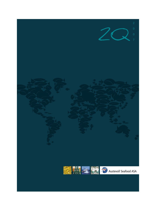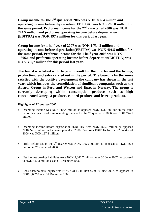**Group income for the 2nd quarter of 2007 was NOK 886.4 million and operating income before depreciation (EBITDA) was NOK 265.0 million for the same period. Proforma income for the 2nd quarter of 2006 was NOK 774.5 million and proforma operating income before depreciation (EBITDA) was NOK 197.2 million for this period last year.**

**Group income for 1 half year of 2007 was NOK 1 734,3 million and operating income before depreciation(EBITDA) was NOK 401,5 million for the same period. Proforma income for the 1 half year 2006 was NOK 1 506,1 and proforma operating income before depreciation(EBITDA) was NOK 300,7 million for this period last year.**

**The board is satisfied with the group result for the quarter and the fishing, production, and sales carried out in the period. The board is furthermore satisfied with the positive development the company has shown in the last year, which includes the consolidation of significant companies such as the Austral Group in Peru and Welcon and Epax in Norway. The group is currently developing within consumption products such as high concentrated Omega 3 products, canned products and frozen products.**

## **Highlights of 2nd quarter 2007**

- Operating income was NOK 886.4 million as opposed NOK 423.8 million in the same period last year. Proforma operating income for the  $2<sup>nd</sup>$  quarter of 2006 was NOK 774.5 million.
- Operating income before depreciation (EBITDA) was NOK 265.0 million as opposed NOK 52.5 million in the same period in 2006. Proforma EBITDA for the  $2<sup>nd</sup>$  quarter of 2006 was NOK 197.2 million.
- Profit before tax in the  $2<sup>nd</sup>$  quarter was NOK 145.2 million as opposed to NOK 46.8 million in  $2<sup>nd</sup>$  quarter of 2006.
- Net interest bearing liabilities were NOK 2,046.7 million as at 30 June 2007, as opposed to NOK 527.3 million as at 31 December 2006.
- Book shareholders equity was NOK 4,314.5 million as at 30 June 2007, as opposed to NOK 3,637.0 as at 31 December 2006.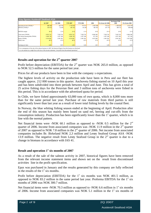| Key figures Austevoll Seafood ASA            |            |         |                          |               |           |                   |                                     |           |
|----------------------------------------------|------------|---------|--------------------------|---------------|-----------|-------------------|-------------------------------------|-----------|
|                                              | $Q2\,2007$ | Q2 2006 | <b>YTD 2007</b> YTD 2006 |               |           |                   | Pro forma YTD<br>2006 Pro forma 200 |           |
|                                              |            |         |                          |               | 2006      | Pro forma Q2 2006 |                                     |           |
| Operating income (TNOK) *<br>EBITDA (TNOK) * |            |         |                          |               | 2 665 588 | 114.521           |                                     |           |
|                                              |            |         |                          |               | 482 36    | 197 170           | 300721                              | 699 846   |
|                                              |            |         |                          |               |           |                   |                                     |           |
| EBITDA margin                                |            |         |                          |               |           |                   |                                     |           |
| Total assets (TNOK)                          |            |         |                          |               |           | 020720            | 7 020 720                           | 6 846 306 |
|                                              |            |         |                          |               |           | 837 348           | 1 837 348                           |           |
| Net interest bearing debt (TNOK)             | 2 046 738  |         |                          |               |           |                   |                                     |           |
| Equity (TNOK)                                |            | 2991582 |                          | 2 9 9 1 5 8 2 |           | 2991582           | 2 9 9 1 5 8 2                       |           |
| Equity ratio                                 |            |         |                          |               |           | 43 %              |                                     |           |
|                                              |            |         |                          |               |           |                   |                                     |           |
|                                              |            |         |                          |               |           |                   |                                     |           |
| Earnings per share                           |            |         |                          |               |           |                   |                                     |           |

#### **Results and operation for the 2nd quarter 2007**

Profit before depreciation (EBITDA) for the  $2<sup>nd</sup>$  quarter was NOK 265.0 million, as opposed to NOK 52.5 million for the same period last year.

Prices for all our products have been in line with the company s expectations.

The highest levels of activity on the production side have been in Peru and our fleet has caught approx. 212 000 tonnes in this quarter. Anchoveta fishing started on 10 April this year and has been subdivided into three periods between April and June. This has given a total of 25 active fishing days for the Peruvian fleet and 3 million tons of anchoveta were fished in this period. This is in accordance with the advertised quota for period.

In Chile, we have fished approximately 63,000 tons of own quota, which is 8,000 tons more than for the same period last year. Purchase of raw materials from third parties is still significantly lower than last year as a result of lower total fishing levels by the coastal fleet.<br>In Norway, the blue whiting fishing season ended at the beginning of April. Production after

the end of this season has mainly been based on sand eel, herring and cut-offs from the consumption industry. Production has been significantly lower than the  $1<sup>st</sup>$  quarter, which is in line with the normal pattern.

Net financial items were -NOK 60.1 million as opposed to -NOK 0.5 million for the  $2<sup>nd</sup>$ nd quarter of 2006. Income from associated companies was -NOK 11.9 million in the  $2<sup>nd</sup>$  quarter  $nd \sim \sim \sim t \sim n$ quarter of 2007 as opposed to NOK 7.8 million in the  $2<sup>nd</sup>$  quarter of 2006. Net income from associated companies includes Br. Birkeland NOK 2,3 million and Lerøy Seafood Group ASA -NOK 13.9 million. The negative result from Lerøy Seafood Group in the  $2<sup>nd</sup>$  quarter is due to a change in biomass in accordance with IAS 41.

#### **Result and operation 1 st six months of 2007**

As a result of the sale of the salmon activity in 2007, historical figures have been removed from the relevant income statement items and shown net on the result from discontinued activities line in the profit specification.

Epax was purchased in January and the results generated by this company are fully reflected in the results of the  $1<sup>st</sup>$  six months.

Profit before depreciation (EBITDA) for the  $1<sup>st</sup>$  six months was NOK 401.5 million, as opposed to NOK 83.2 million in the same period last year. Proforma EBITDA for the  $1<sup>st</sup>$  six  $six$ months of 2006 was NOK 300.7 million.

Net financial items were -NOK 70.3 million as opposed to -NOK 6.6 million in  $1<sup>st</sup>$  six months of 2006. Income from associated companies was NOK 5.1 million in the  $1<sup>st</sup>$  six months of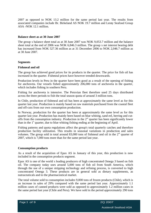2007 as opposed to NOK 13.2 million for the same period last year. The results from associated companies include Br. Birkeland AS NOK 19.7 million and Lerøy Seafood Group ASA -NOK 12.1 million.

#### **Balance sheet as at 30 June 2007**

The group s balance sheet total as at 30 June 2007 was NOK 9,053.7 million and the balance sheet total at the end of 2006 was NOK 6,846.3 million. The group s net interest bearing debt has increased from NOK 527.36 million as at 31 December 2006 to NOK 2,046.7 million as at 30 June 2007.

#### **Segments**

#### **Fishmeal and oil**

The group has achieved good prices for its products in the quarter. The price for fish oil has increased in the quarter. Fishmeal prices have however trended downwards.

Production levels in Peru in the quarter have been good as a result of the opening of fishing for anchoveta. Our vessels fished approximately 206,000 tons of anchoveta in the quarter, which includes fishing in southern Peru.

Fishing for anchoveta is intensive. The Peruvian fleet therefore used 25 days distributed across the three periods to fish the total season quota of around 3 million tons.

In Chile, production of fishmeal and oil has been at approximately the same level as for this quarter last year. Production is mainly based on raw materials purchased from the coastal fleet and off-cuts from our own consumption production.

In Norway, production for the quarter has been at approximately the same level as for this quarter last year. Production has mainly been based on blue whiting, sand eel, herring and cut offs from the consumption industry. Production in the  $2<sup>nd</sup>$  quarter has been significantly lower than in the  $1<sup>st</sup>$  quarter, due to blue whiting fishing ending at the beginning of April.

Fishing patterns and quota regulations affect the group's total quarterly catches and therefore production facility utilization. This results in seasonal variations in production and sales volumes. The group sold in total around 83,000 tons of fishmeal and oil in the  $2<sup>nd</sup>$  quarter of 2007, which is 7,000 tons more than for the same period last year.

#### **Consumption products**

As a result of the acquisition of Epax AS in January of this year, this production is now included in the consumption products segment.

Epax AS is one of the world s leading producers of high concentrated Omega 3 based on fish oil. The company today uses around 5,000 tons of fish oil from South America, which through the use of a unique stripping technology and refining process, is converted to high concentrated Omega 3. These products are in general sold as dietary supplements, as nutraceuticals and to the pharmaceutical market.

The total volume sold to consumption includes 9,000 tons of frozen products (Chile), which is an increase in sales of 29% compared with the same period last year. Approximately 1.1 million cases of canned products were sold as opposed to approximately 1.2 million cases in the same period last year (Chile and Peru). We have sold in the period approximately 290 tons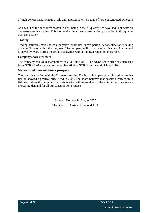of high concentrated Omega 3 oils and approximately 69 tons of low concentrated Omega 3 oils.

As a result of the anchoveta season in Peru being in the  $2<sup>nd</sup>$  quarter, we have had to allocate all our vessels to this fishing. This has resulted in a lower consumption production in this quarter than last quarter.

#### **Trading**

Trading activities have shown a negative result also in this period. A consolidation is taking place in Norway within this segment. The company will participate in this consolidation and is currently restructuring the group s activities within trading/production in Europe.

#### **Company share structure**

The company had 2838 shareholders as at 30 June 2007. The AUSS share price has increased from NOK 42.20 at the end of December 2006 to NOK 59 at the end of June 2007.

#### **Market conditions and future prospects**

The board is satisfied with the  $2<sup>nd</sup>$  quarter results. The board is in particular pleased to see that fish oil showed a positive price trend in 2007. The board believes that despite a correction in fishmeal prices this summer that this market will strengthen in the autumn and we see an increasing demand for all our consumption products.

> Storebø, Norway 24 August 2007 The Board of Austevoll Seafood ASA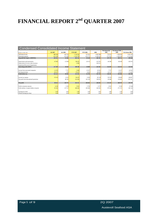# **FINANCIAL REPORT 2nd QUARTER 2007**

| Condensed Consolidated Income Statement               |           |          |                 |                 |           |                                                |           |                |  |
|-------------------------------------------------------|-----------|----------|-----------------|-----------------|-----------|------------------------------------------------|-----------|----------------|--|
| All figures in NOK 1.000                              | Q2 2007   | Q2 2006  | <b>YTD 2007</b> | <b>YTD 2006</b> | 2006      | Pro forma Q <sub>2</sub> Pro forma YTD<br>2006 | 2006      | Pro forma 2006 |  |
|                                                       | 886 360   | 423 765  | 1 734 342       | 757 011         | 2 665 588 | 774 521                                        | 1 506 059 | 3 4 1 3 7 8 7  |  |
| Operating income                                      | $-621346$ | 371 299  | $-133279$       | $-673771$       | 2 183 223 | $-577351$                                      | 1 205 338 | $-2713941$     |  |
| Operating expenses<br>Op.profit bef. deprec. (EBITDA) | 265 013   | 52 466   | 401 542         | 83 240          | 482 365   | 197 170                                        | 300721    | 699 846        |  |
|                                                       |           |          |                 |                 |           |                                                |           |                |  |
| Depreciation and amortisation                         | $-47805$  | $-12838$ | $-98035$        | $-24151$        | $-116781$ | $-44300$                                       | $-86449$  | $-183931$      |  |
| Depreciation of excess value inventory                |           |          |                 |                 | $-140221$ |                                                |           |                |  |
| Impairment/Reversal of impairments                    |           |          |                 |                 |           |                                                |           |                |  |
| <b>Operating profit (EBIT)</b>                        | 217 209   | 39 628   | 300 508         | 59 089          | 225 363   | 152 870                                        | 214 272   | 515 915        |  |
|                                                       |           |          |                 |                 |           |                                                |           |                |  |
| Income from associated companies                      | $-11879$  | 7757     |                 | 13 237          | 16 593    | 7757                                           | 13 237    | 16 593         |  |
| Net financial items                                   | $-60107$  |          |                 | $-6620$         | $-48208$  | $-14.17$                                       | $-22823$  | $-71445$       |  |
| Profit before tax                                     | 145 223   | 46 846   | 235 301         | 65 706          | 193748    | 146 455                                        | 204 686   | 461 063        |  |
|                                                       |           |          |                 |                 |           |                                                |           |                |  |
| Income tax expense                                    | $-55610$  | $-6255$  | $-9463$         | $-2056$         | $-36138$  | $-59370$                                       | $-58660$  | $-86897$       |  |
| Net profit from discontinued operations               |           | 88 185   | 313.65          | 141 195         | 109 055   | 85489                                          | 134 681   | 102 541        |  |
|                                                       |           |          |                 |                 |           |                                                |           |                |  |
| Net profit                                            | 89 613    | 128 776  | 454 315         | 204 845         | 266 665   | 172 574                                        | 280 707   | 476 707        |  |
|                                                       |           |          |                 |                 |           |                                                |           |                |  |
| Profit to minority interests                          |           | 1 2 5 9  |                 | 2 7 6 2         | 2 2 7     | 2032                                           | 9 3 3 6   | 15 5 46        |  |
| Profit attribut. to equity holders of parent          | 85 383    | 127 517  | 448 483         | 202 083         | 264 392   | 170 542                                        | 271 371   | 461 161        |  |
|                                                       |           |          |                 |                 |           |                                                |           |                |  |
| Earnings per share                                    |           |          |                 |                 |           |                                                |           |                |  |
| Diluted earnings per share                            |           |          |                 |                 |           |                                                |           |                |  |

Austevoll Seafood ASA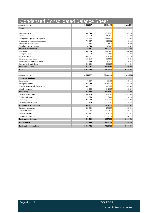| <b>Condensed Consolidated Balance Sheet</b>                         |                      |                      |                   |
|---------------------------------------------------------------------|----------------------|----------------------|-------------------|
| All figures in NOK 1.000                                            | 30.06.2007           | 30.06.2006           | 31.12.2006        |
| Assets                                                              |                      |                      |                   |
|                                                                     |                      |                      |                   |
| Intangible assets                                                   | 1 360 546            | 1 367 223            | 1 385 261         |
| Vessels                                                             | 675 950              | 816 072              | 704 408           |
| Other property, plant and equipment                                 | 1782 603<br>1740 857 | 1 613 836<br>113 502 | 1815689           |
| Investments in associtated companies<br>Investments in other shares | 18 4 8 4             | 8 9 2 1              | 145 124<br>26 298 |
| Other long-term receivables                                         | 60 745               | 116 665              | 70 5 24           |
| <b>Total non-current assets</b>                                     | 5 639 186            | 4 036 219            | 4 147 303         |
| Inventories                                                         | 1 083 088            | 1 015 089            | 434 604           |
| <b>Biological</b> assets                                            |                      | 253 094              | 224 771           |
| Accounts receivable                                                 | 684 062              | 651761               | 429 290           |
| Other current receivables                                           | 184 116              | 164 877              | 188 417           |
| Available-for-sale financial assets                                 | 17 180               | 10473                | 10428             |
| Cash and cash equivalents                                           | 1 446 100            | 889 207              | 1 411 492         |
| Total current assets                                                | 3 4 1 4 5 4 6        | 2 984 501            | 2 699 003         |
| <b>Total assets</b>                                                 | 9 053 732            | 7 020 720            | 6 846 306         |
|                                                                     |                      |                      |                   |
| All figures in NOK 1.000                                            | 30.06.2007           | 30.06.2006           | 31.12.2006        |
| <b>Equity and liabilities</b>                                       |                      |                      |                   |
| Share capital                                                       | 92 159               | 88 135               | 89 112            |
| Share premium fund                                                  | 3 081 049            | 2 115 418            | 2 798 795         |
| Retained earnings and other reserves                                | 1 058 277            | 645 222              | 665 893           |
| Minority interests                                                  | 83 006               | 142 807              | 83 200            |
| Total equity                                                        | 4 3 1 4 4 9 2        | 2 991 582            | 3 637 000         |
| Deferred tax liabilities                                            | 496 470              | 687 207              | 621 381           |
| Pension obligations                                                 | 15 853               | 3 0 6 1              | 18 2 8 7          |
| Borrowings                                                          | 2 363 000            | 1 265 270            | 1 354 378         |
| Other long-term liabilities                                         | 13 450               | 96 392               | 28 630            |
| <b>Total non-current liabilities</b>                                | 2 888 772            | 2 051 930            | 2 022 677         |
| Short term borrowings                                               | 561 539              | 250 255              | 233 913           |
| Overdraft facilities                                                | 615 594              | 1 168 938            | 380 540           |
| Accounts payable                                                    | 440 667              | 495 723              | 367 447           |
| Other current liabilities                                           | 232 667              | 62292                | 204 729           |
| <b>Total current liabilities</b>                                    | 1850468              | 1977 208             | 1 186 629         |
| <b>Total liabilities</b>                                            | 4 739 240            | 4 029 138            | 3 209 306         |
| Total equity and liabilities                                        | 9 053 732            | 7 020 720            | 6846306           |
|                                                                     |                      |                      |                   |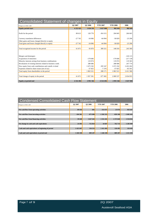| Consolidated Statement of changes in Equity                 |               |           |                 |                 |           |
|-------------------------------------------------------------|---------------|-----------|-----------------|-----------------|-----------|
| All figures in NOK 1.000                                    | Q2 2007       | Q2 2006   | <b>YTD 2007</b> | <b>YTD 2006</b> | 2006      |
| <b>Equity period start</b>                                  | 4 252 621     | 1 034 191 | 3 637 000       | 982 045         | 982 04:   |
| Profit for the period                                       | 89 613        | 128 776   | 454 315         | 204 845         | 266 665   |
| Currency translation differences                            | $-27742$      | $-34906$  | $-64994$        | -58 829         | $-23296$  |
| Other gains and losses charged directly to equity           |               |           |                 |                 |           |
| Total gains and losses charged directly to equity           | $-27742$      | $-34906$  | $-64994$        | -58 829         | $-23296$  |
| Total recognised income for the period                      | 61 871        | 93 870    | 389 321         | 146 016         | 243 369   |
|                                                             |               |           |                 |                 | $-126115$ |
| Mergers and demergers<br>Acquisition of minorities          |               | $-179606$ |                 | $-179606$       | $-217139$ |
| Minority interests arising from business combinations       |               | 119 074   |                 | 119 074         | 119 365   |
| Revaluation of existing interests related to business comb. |               | 288 686   |                 | 288 686         | 247 774   |
| New equity from cash contributions and contrib. in kind     |               | 1 673 192 | 295 547         | 1 673 192       | 2 453 202 |
| Expenses related to share issues (net of tax)               |               | $-37825$  | $-7376$         | $-37825$        | $-65501$  |
| Total equity from shareholders in the period                |               | 1 863 521 | 288 171         | 1 863 521       | 2411586   |
| Total change of equity in the period                        | 61 87         | 1957391   | 677 492         | 2 009 53        | 2 654 955 |
| Equity at period end                                        | 4 3 1 4 4 9 2 | 2 991 582 | 4 3 14 4 9 2    | 2 991 582       | 3 637 000 |

| Condensed Consolidated Cash Flow Statement       |               |           |                 |                 |               |
|--------------------------------------------------|---------------|-----------|-----------------|-----------------|---------------|
| All figures in NOK 1.000                         | Q2 2007       | Q2 2006   | <b>YTD 2007</b> | <b>YTD 2006</b> | 2006          |
| Net cash flow from operating activities          | 89 454        |           | $-314471$       | 25 974          | 935 647       |
| Net cash flow from investing activities          | $-104381$     | $-875090$ | $-1202353$      | $-839100$       | $-1005463$    |
| Net cash flow from financing activities          | 39 4 20       | 1 627 263 | 1 551 431       | 1 575 840       | 1 3 5 4 8 1 6 |
| Net change in cash and cash equivalents          | <b>24 493</b> | 752 854   | 34 607          | 762 714         | 1 285 000     |
| Cash and cash equivalents at beginning of period | 1 4 2 1 6 0 7 | 136 353   | 1 411 493       | 126 493         | 126 493       |
| Cash and cash equivalents at period end          | 1446 100      | 889 207   | 1446 100        | 889 207         | 1 4 1 4 4 9 3 |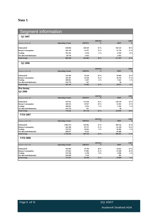# **Note 1**

| Segment information                                                                                          |                          |                     |                                       |                     |                  |
|--------------------------------------------------------------------------------------------------------------|--------------------------|---------------------|---------------------------------------|---------------------|------------------|
| Q2 2007                                                                                                      |                          |                     |                                       |                     |                  |
| All figures in NOK 1.000                                                                                     | Operating revenue        | <b>EBITDA</b>       | <b>EBITDA</b><br>$\sim$ $\frac{0}{0}$ | <b>EBIT</b>         | <b>EBIT</b>      |
|                                                                                                              | 638 846                  | 220 429             | $35\%$                                | 192 523 30 %        |                  |
|                                                                                                              | 205 129                  | 51977               | $25\%$                                | 35 710              | $17\frac{0}{6}$  |
|                                                                                                              | 101 161<br>-58 776       | -5476<br>$-1925$    | $-5\%$                                | $-8104$<br>$-2922$  | $-8\%$           |
| Fishmeal/oil<br>Human Consumption<br>Trading<br>Not allocated/elimination<br>Total Group                     | 886 360                  | $265\,005$ $30\,\%$ |                                       | $217\ 207$ $25\ \%$ |                  |
|                                                                                                              |                          |                     |                                       |                     |                  |
| $Q2\,2006$                                                                                                   |                          |                     |                                       |                     |                  |
|                                                                                                              |                          |                     | EBITDA<br>%                           |                     | <b>EBIT</b>      |
| All figures in NOK 1.000                                                                                     | Operating revenue        | <b>EBITDA</b>       |                                       | <b>EBIT</b>         |                  |
|                                                                                                              | 119 443                  | 34 339              | 29 %                                  | 29 066 24 %         |                  |
|                                                                                                              | 105 267<br>309 831       | 23 5 46<br>5 8 3 7  | $22\%$<br>$-2\%$                      | 18 133<br>$-7621$   | $17\%$<br>$-2\%$ |
|                                                                                                              | -110 776                 | 417                 |                                       | 49                  |                  |
|                                                                                                              | 423 765                  | 52 4 65             | $12\%$                                | $39627$ $9\%$       |                  |
| Fishmeal/oil<br>Human Consumption<br>Trading<br>Not allocated/elimination<br>Total Group<br><b>Pro forma</b> |                          |                     |                                       |                     |                  |
| Q2 2006                                                                                                      |                          |                     |                                       |                     |                  |
| All figures in NOK 1.000                                                                                     | <b>Operating revenue</b> |                     | EBITDA EBITDA %                       | <b>EBIT</b>         | EBIT             |
|                                                                                                              |                          |                     |                                       |                     | 340              |
|                                                                                                              | 414 911<br>160 555       | 172 659<br>29 9 27  | 42 %<br>$19\%$                        | 139 159<br>21 28 1  | 13 %             |
|                                                                                                              | 309 831<br>-110 776      | -5 833<br>417       | $-2\%$                                | $-7619$<br>49       | $-2\%$           |
| Fishmeal/oil<br>Human Consumption<br>Trading<br>Not allocated/elimination<br>Total Group                     | 774 521                  |                     | $197\,170$ $25\%$                     | 152 870 20 %        |                  |
| <b>YTD 2007</b>                                                                                              |                          |                     |                                       |                     |                  |
|                                                                                                              |                          |                     |                                       |                     |                  |
| All figures in NOK 1.000                                                                                     | Operating revenue        | <b>EBITDA</b>       | <b>EBITDA</b>                         | <b>EBIT</b>         | EBIT             |
|                                                                                                              | 1 063 573                | 324 491             | 31 %                                  | 266 132             | 250              |
|                                                                                                              | 445 290<br>333 555       | 95 737<br>-10 441   | 21 %<br>$-3\%$                        | 61 249<br>-16 385   | 14%<br>$-5\%$    |
| Fishmeal/oil<br>Human Consumption<br>Trading<br>Not allocated/elimination<br>Total Group                     | -108 077                 | -8 25 2             |                                       | $-10489$            |                  |
|                                                                                                              | 1 734 341                |                     | $401\,535$ $23\%$                     | 300 507 17 %        |                  |
| <b>YTD 2006</b>                                                                                              |                          |                     |                                       |                     |                  |
|                                                                                                              |                          |                     |                                       |                     |                  |
| All figures in NOK 1.000                                                                                     | <b>Operating revenue</b> |                     | EBITDA EBITDA %                       | EBIT ERIT           |                  |
|                                                                                                              | 165 683                  | 45 704              | 28 %                                  | 35 922              | $22\%$           |
|                                                                                                              | 173 641<br>574 336       | 37895<br>$-1478$    | 22 %<br>$0\%$                         | 27 830<br>-5 046    | $16\%$<br>$-1\%$ |
| Fishmeal/oil<br>Human Consumption<br>Trading<br>Not allocated/elimination<br>Total Group                     | -156 649                 | 1 1 1 9             |                                       | 383                 |                  |
|                                                                                                              | 757 011                  | 83 240              | 11 %                                  | 59 089              | 8%               |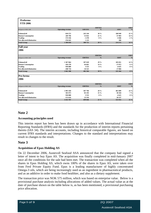| Proforma<br>YTD 2006                                                                     |                           |                                                                      |                                                            |                                                                          |         |
|------------------------------------------------------------------------------------------|---------------------------|----------------------------------------------------------------------|------------------------------------------------------------|--------------------------------------------------------------------------|---------|
|                                                                                          |                           |                                                                      |                                                            |                                                                          |         |
|                                                                                          |                           | <b>EBITDA</b>                                                        | EBITDA                                                     | <b>EBIT</b>                                                              |         |
| All figures in NOK 1.000                                                                 | Operating revenue         |                                                                      |                                                            |                                                                          |         |
| Fishmeal/oil<br>Human Consumption<br>Trading<br>Not allocated/elimination<br>Total Group | 818 572                   | 245 244<br>55 832                                                    | $\frac{30\%}{21\%}$                                        | 180 949<br>37 983                                                        |         |
|                                                                                          | 269 796                   |                                                                      |                                                            |                                                                          | 14 %    |
|                                                                                          | 574 336                   | $-1478$                                                              | $0\%$                                                      | $-5046$                                                                  | $-1\%$  |
|                                                                                          | -156 645                  | 1 1 2 3                                                              |                                                            | 386                                                                      |         |
|                                                                                          | 1 506 059                 | 300 721                                                              | $20 \%$                                                    | 214 272                                                                  | $14\%$  |
| Full year<br>2006                                                                        |                           |                                                                      |                                                            |                                                                          |         |
|                                                                                          |                           |                                                                      |                                                            |                                                                          |         |
|                                                                                          |                           |                                                                      |                                                            |                                                                          |         |
|                                                                                          |                           |                                                                      |                                                            |                                                                          |         |
|                                                                                          |                           |                                                                      | $EBITDA$ %                                                 |                                                                          |         |
| All figures in NOK 1.000                                                                 | <b>Operating revenue</b>  | <b>EBITDA</b>                                                        |                                                            | EBIT                                                                     |         |
|                                                                                          | 1 367 064                 |                                                                      |                                                            |                                                                          | $14\%$  |
|                                                                                          | 456 378                   | $\begin{array}{c} 397\;629\\ 64\;661\\ 3\;553\\ 16\;521 \end{array}$ | $29\%$<br>14 %<br>0 %                                      | $\begin{array}{r} 185\ 051 \\ 27\ 872 \\ -4\ 625 \\ 17\ 066 \end{array}$ | 6%      |
|                                                                                          | 950 880                   |                                                                      |                                                            |                                                                          | $0\%$   |
|                                                                                          | 108 734                   |                                                                      |                                                            |                                                                          |         |
| Fishmeal/oil<br>Human Consumption<br>Trading<br>Not allocated/elimination<br>Total Group | 2 6 6 5 5 8 8             | 482 364                                                              | $18 \%$                                                    | 225 364                                                                  |         |
|                                                                                          |                           |                                                                      |                                                            |                                                                          |         |
| Pro forma<br>2006                                                                        |                           |                                                                      |                                                            |                                                                          |         |
|                                                                                          |                           |                                                                      |                                                            |                                                                          |         |
|                                                                                          |                           |                                                                      |                                                            |                                                                          |         |
|                                                                                          |                           |                                                                      |                                                            |                                                                          |         |
| All figures in NOK 1.000                                                                 | <b>Operating revenue</b>  | EBITDA                                                               | $\begin{array}{c}\n\textbf{EBITDA} \\ \phi_0\n\end{array}$ | EBIT                                                                     |         |
|                                                                                          |                           |                                                                      |                                                            |                                                                          |         |
| Fishmeal/oil<br>Human Consumption<br>Trading<br>Not allocated/elimination<br>Total Group | 1 995 450<br>581 073      | 587 784<br>85 193<br>3 553<br>23 316                                 | $29\%$<br>15 %<br>0 %                                      | $\begin{array}{c} 461899 \\ 38104 \\ -4625 \\ 20537 \end{array}$         | $23 \%$ |
|                                                                                          |                           |                                                                      |                                                            |                                                                          |         |
|                                                                                          | 950 880                   |                                                                      |                                                            |                                                                          | $0\%$   |
|                                                                                          |                           |                                                                      |                                                            |                                                                          |         |
|                                                                                          | $-113616$<br>3 4 13 7 8 7 | 699 846                                                              | $21\%$                                                     | 515 915                                                                  | $15\%$  |

# **Note 2**

#### **Accounting principles used**

This interim report has been has been drawn up in accordance with International Financial Reporting Standards (IFRS) and the standards for the production of interim reports pertaining thereto (IAS 34). The interim accounts, including historical comparable figures, are based on current IFRS standards and interpretations. Changes to the standard and interpretations may result in changes to the result.

### **Note 3**

#### **Acquisition of Epax Holding AS**

On 22 December 2006, Austevoll Seafood ASA announced that the company had signed a letter of intent to buy Epax AS. The acquisition was finally completed in mid-January 2007 once all the conditions for the sale had been met. The transaction was completed when all the shares in Epax Holding AS, which owns 100% of the shares in Epax AS, were taken over from Ferd Private Equity Fund. Epax is a leading manufacturer of highly concentrated Omega-3 oils, which are being increasingly used as an ingredient in pharmaceutical products, and as an additive in order to make food healthier, and also as a dietary supplement.

The transaction price was NOK 575 million, which was based on enterprise value. Below is a provisional purchase analysis including allocations of added values. The actual value as at the date of purchase shown on the table below is, as has been mentioned, a provisional purchasing price allocation.